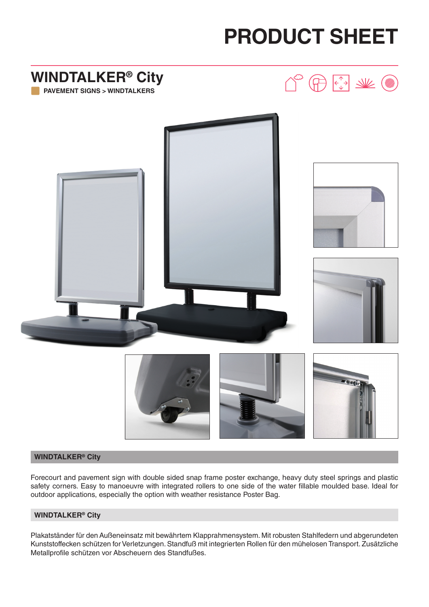# **PRODUCT SHEET**



#### **WINDTALKER® City**

Forecourt and pavement sign with double sided snap frame poster exchange, heavy duty steel springs and plastic safety corners. Easy to manoeuvre with integrated rollers to one side of the water fillable moulded base. Ideal for outdoor applications, especially the option with weather resistance Poster Bag.

#### **WINDTALKER® City**

Plakatständer für den Außeneinsatz mit bewährtem Klapprahmensystem. Mit robusten Stahlfedern und abgerundeten Kunststoffecken schützen for Verletzungen. Standfuß mit integrierten Rollen für den mühelosen Transport. Zusätzliche Metallprofile schützen vor Abscheuern des Standfußes.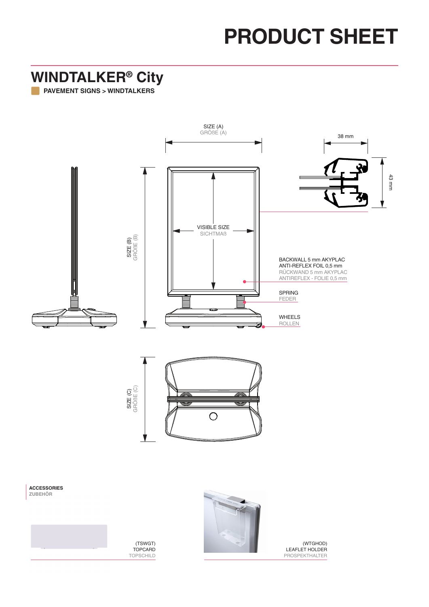# **PRODUCT SHEET**

#### **WINDTALKER® City**

**PAVEMENT SIGNS > WINDTALKERS**





(TSWGT) TOPCARD TOPSCHILD

(WTGHOD) LEAFLET HOLDER PROSPEKTHALTER